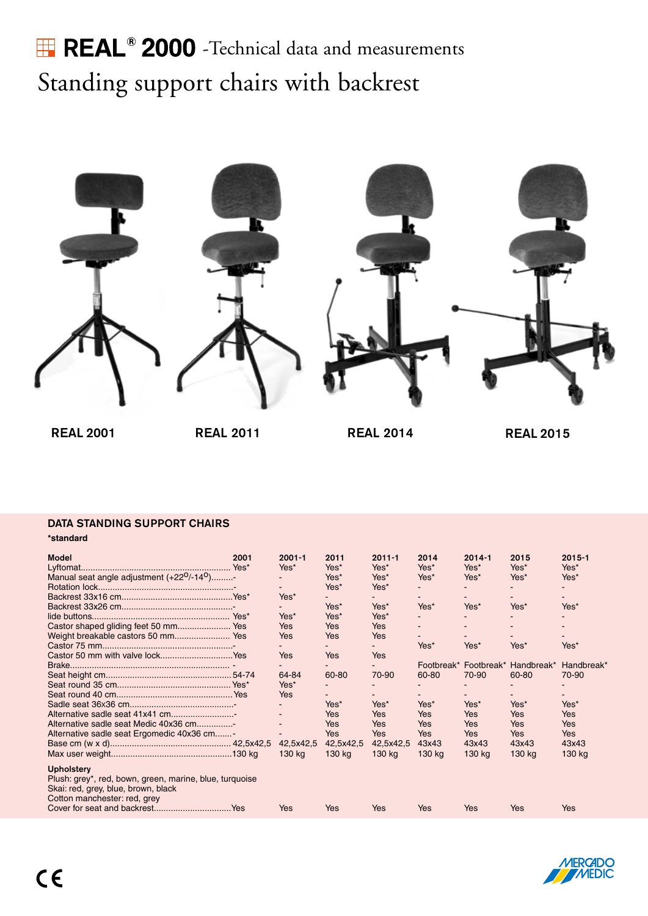## **REAL<sup>®</sup>** 2000 - Technical data and measurements Standing support chairs with backrest



REAL 2011 REAL 2014

### DATA STANDING SUPPORT CHAIRS

**\*standard**

| <b>Model</b>                                                        | 2001 | $2001 - 1$ | 2011       | $2011 - 1$ | 2014       | $2014 - 1$            | 2015       | $2015 - 1$ |
|---------------------------------------------------------------------|------|------------|------------|------------|------------|-----------------------|------------|------------|
|                                                                     |      | Yes*       | Yes*       | Yes*       | Yes*       | Yes*                  | Yes*       | Yes*       |
| Manual seat angle adjustment (+22 <sup>0</sup> /-14 <sup>0</sup> )- |      |            | Yes*       | Yes*       | Yes*       | Yes*                  | Yes*       | Yes*       |
|                                                                     |      |            | Yes*       | Yes*       |            |                       |            |            |
|                                                                     |      | Yes*       |            |            |            |                       |            |            |
|                                                                     |      |            | Yes*       | Yes*       | Yes*       | Yes*                  | Yes*       | Yes*       |
|                                                                     |      | Yes*       | Yes*       | Yes*       |            |                       |            |            |
|                                                                     |      | <b>Yes</b> | Yes        | <b>Yes</b> |            |                       |            |            |
|                                                                     |      | Yes        | <b>Yes</b> | Yes        |            |                       |            |            |
|                                                                     |      |            |            |            | Yes*       | Yes*                  | Yes*       | Yes*       |
| Castor 50 mm with valve lockYes                                     |      | Yes        | Yes        | Yes        |            |                       |            |            |
|                                                                     |      |            |            |            |            | Footbreak* Footbreak* | Handbreak* | Handbreak* |
|                                                                     |      | 64-84      | 60-80      | 70-90      | 60-80      | 70-90                 | 60-80      | 70-90      |
|                                                                     |      | Yes*       |            |            |            |                       |            |            |
|                                                                     |      | Yes        |            |            |            |                       |            |            |
|                                                                     |      |            | Yes*       | Yes*       | Yes*       | Yes*                  | Yes*       | Yes*       |
| Alternative sadle seat 41x41 cm                                     |      |            | Yes        | <b>Yes</b> | Yes        | <b>Yes</b>            | Yes        | Yes        |
| Alternative sadle seat Medic 40x36 cm                               |      |            | Yes        | Yes        | Yes        | Yes                   | Yes        | <b>Yes</b> |
| Alternative sadle seat Ergomedic 40x36 cm                           |      |            | Yes        | <b>Yes</b> | <b>Yes</b> | Yes                   | Yes        | <b>Yes</b> |
|                                                                     |      | 42,5x42,5  | 42,5x42,5  | 42,5x42,5  | 43x43      | 43x43                 | 43x43      | 43x43      |
|                                                                     |      | 130 kg     | 130 kg     | 130 kg     | 130 kg     | 130 kg                | 130 kg     | 130 kg     |
| <b>Upholstery</b>                                                   |      |            |            |            |            |                       |            |            |
| Plush: grey*, red, bown, green, marine, blue, turquoise             |      |            |            |            |            |                       |            |            |
| Skai: red, grey, blue, brown, black                                 |      |            |            |            |            |                       |            |            |
| Cotton manchester: red, grey                                        |      |            |            |            |            |                       |            |            |
|                                                                     |      | Yes        | Yes        | <b>Yes</b> | Yes        | Yes                   | Yes        | Yes        |